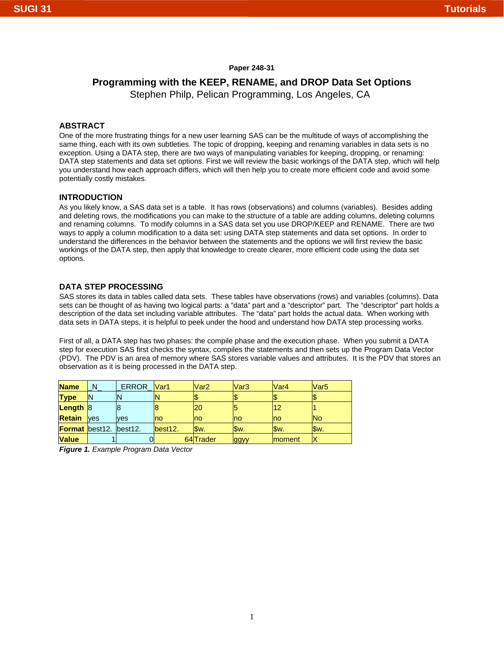## **Paper 248-31**

# **Programming with the KEEP, RENAME, and DROP Data Set Options**

Stephen Philp, Pelican Programming, Los Angeles, CA

### **ABSTRACT**

One of the more frustrating things for a new user learning SAS can be the multitude of ways of accomplishing the same thing, each with its own subtleties. The topic of dropping, keeping and renaming variables in data sets is no exception. Using a DATA step, there are two ways of manipulating variables for keeping, dropping, or renaming: DATA step statements and data set options. First we will review the basic workings of the DATA step, which will help you understand how each approach differs, which will then help you to create more efficient code and avoid some potentially costly mistakes.

### **INTRODUCTION**

As you likely know, a SAS data set is a table. It has rows (observations) and columns (variables). Besides adding and deleting rows, the modifications you can make to the structure of a table are adding columns, deleting columns and renaming columns. To modify columns in a SAS data set you use DROP/KEEP and RENAME. There are two ways to apply a column modification to a data set: using DATA step statements and data set options. In order to understand the differences in the behavior between the statements and the options we will first review the basic workings of the DATA step, then apply that knowledge to create clearer, more efficient code using the data set options.

### **DATA STEP PROCESSING**

SAS stores its data in tables called data sets. These tables have observations (rows) and variables (columns). Data sets can be thought of as having two logical parts: a "data" part and a "descriptor" part. The "descriptor" part holds a description of the data set including variable attributes. The "data" part holds the actual data. When working with data sets in DATA steps, it is helpful to peek under the hood and understand how DATA step processing works.

First of all, a DATA step has two phases: the compile phase and the execution phase. When you submit a DATA step for execution SAS first checks the syntax, compiles the statements and then sets up the Program Data Vector (PDV). The PDV is an area of memory where SAS stores variable values and attributes. It is the PDV that stores an observation as it is being processed in the DATA step.

| <b>Name</b>                   | $N_{-}$ | ERROR Var1 |         | Var <sub>2</sub> | Var <sub>3</sub> | Var <sub>4</sub> | Var <sub>5</sub> |
|-------------------------------|---------|------------|---------|------------------|------------------|------------------|------------------|
| <b>Type</b>                   |         |            |         |                  |                  |                  |                  |
| <b>Length</b> $ 8 $           |         |            |         | 20               |                  | 12               |                  |
| <b>Retain ves</b>             |         | <b>ves</b> | Ino     | no               | <b>no</b>        | no               | lNo              |
| <b>Format</b> best12. best12. |         |            | best12. | Sw.              | Sw.              | Sw.              | Sw.              |
| <b>Value</b>                  |         | υı         |         | 64 Trader        | ggyy             | <b>Imoment</b>   |                  |

*Figure 1. Example Program Data Vector*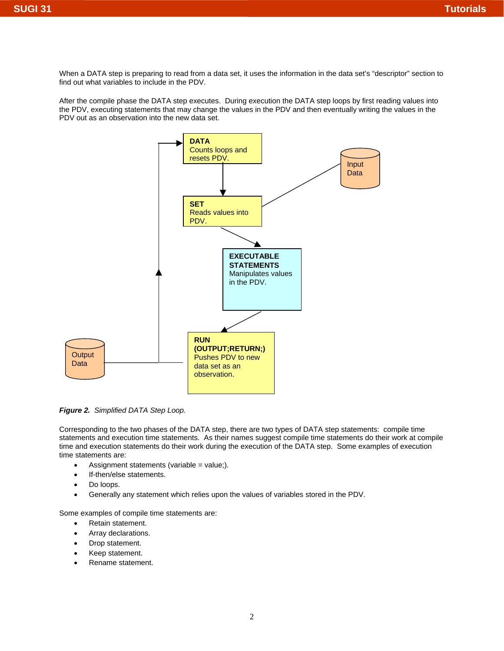When a DATA step is preparing to read from a data set, it uses the information in the data set's "descriptor" section to find out what variables to include in the PDV.

After the compile phase the DATA step executes. During execution the DATA step loops by first reading values into the PDV, executing statements that may change the values in the PDV and then eventually writing the values in the PDV out as an observation into the new data set.



*Figure 2. Simplified DATA Step Loop.* 

Corresponding to the two phases of the DATA step, there are two types of DATA step statements: compile time statements and execution time statements. As their names suggest compile time statements do their work at compile time and execution statements do their work during the execution of the DATA step. Some examples of execution time statements are:

- Assignment statements (variable = value;).
- If-then/else statements.
- Do loops.
- Generally any statement which relies upon the values of variables stored in the PDV.

Some examples of compile time statements are:

- Retain statement.
- Array declarations.
- Drop statement.
- Keep statement.
- Rename statement.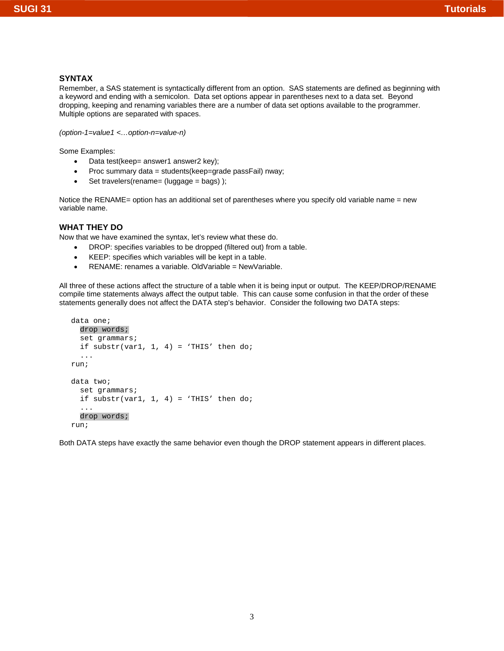# **SUGI 31 Tutorials**

# **SYNTAX**

Remember, a SAS statement is syntactically different from an option. SAS statements are defined as beginning with a keyword and ending with a semicolon. Data set options appear in parentheses next to a data set. Beyond dropping, keeping and renaming variables there are a number of data set options available to the programmer. Multiple options are separated with spaces.

```
(option-1=value1 <…option-n=value-n)
```
Some Examples:

- Data test(keep= answer1 answer2 key);
- Proc summary data = students(keep=grade passFail) nway;
- Set travelers(rename= (luggage = bags));

Notice the RENAME= option has an additional set of parentheses where you specify old variable name = new variable name.

# **WHAT THEY DO**

Now that we have examined the syntax, let's review what these do.

- DROP: specifies variables to be dropped (filtered out) from a table.
- KEEP: specifies which variables will be kept in a table.
- RENAME: renames a variable. OldVariable = NewVariable.

All three of these actions affect the structure of a table when it is being input or output. The KEEP/DROP/RENAME compile time statements always affect the output table. This can cause some confusion in that the order of these statements generally does not affect the DATA step's behavior. Consider the following two DATA steps:

```
data one; 
   drop words; 
   set grammars; 
  if substr(var1, 1, 4) = 'THIS' then do;
   ... 
run; 
data two; 
   set grammars; 
  if substr(var1, 1, 4) = 'THIS' then do;
   ... 
   drop words; 
run;
```
Both DATA steps have exactly the same behavior even though the DROP statement appears in different places.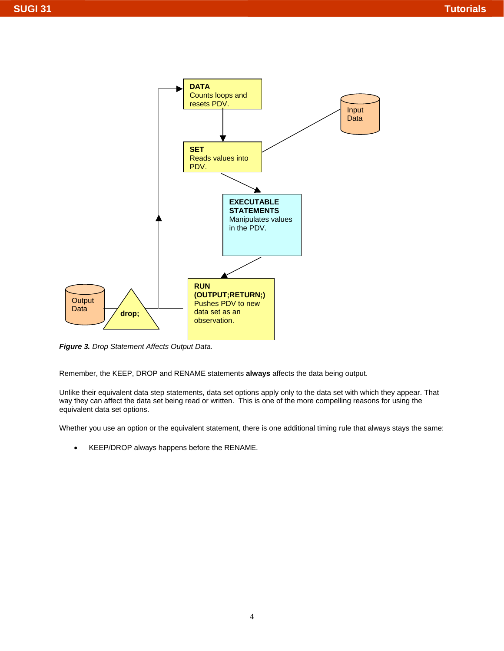

*Figure 3. Drop Statement Affects Output Data.*

Remember, the KEEP, DROP and RENAME statements **always** affects the data being output.

Unlike their equivalent data step statements, data set options apply only to the data set with which they appear. That way they can affect the data set being read or written. This is one of the more compelling reasons for using the equivalent data set options.

Whether you use an option or the equivalent statement, there is one additional timing rule that always stays the same:

• KEEP/DROP always happens before the RENAME.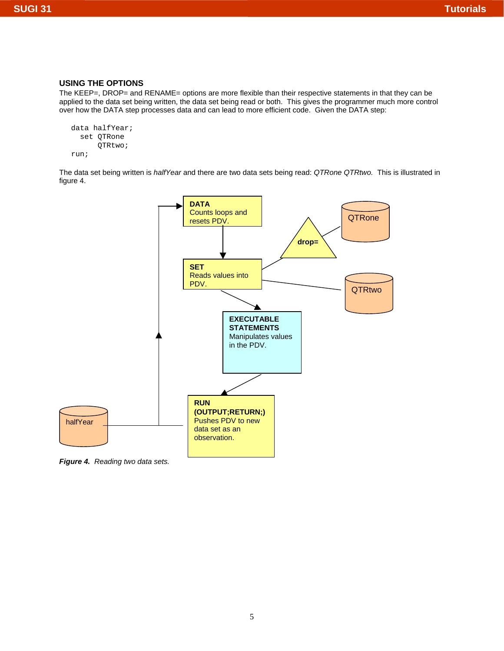# **USING THE OPTIONS**

The KEEP=, DROP= and RENAME= options are more flexible than their respective statements in that they can be applied to the data set being written, the data set being read or both. This gives the programmer much more control over how the DATA step processes data and can lead to more efficient code. Given the DATA step:

```
data halfYear; 
   set QTRone 
        QTRtwo; 
run;
```
The data set being written is *halfYear* and there are two data sets being read: *QTRone QTRtwo.* This is illustrated in figure 4.



*Figure 4. Reading two data sets.*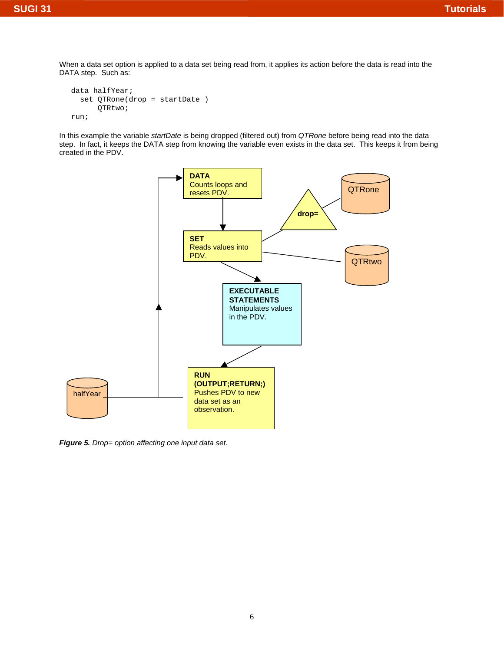When a data set option is applied to a data set being read from, it applies its action before the data is read into the DATA step. Such as:

```
data halfYear; 
   set QTRone(drop = startDate ) 
        QTRtwo; 
run;
```
In this example the variable *startDate* is being dropped (filtered out) from *QTRone* before being read into the data step. In fact, it keeps the DATA step from knowing the variable even exists in the data set. This keeps it from being created in the PDV.



*Figure 5. Drop= option affecting one input data set.*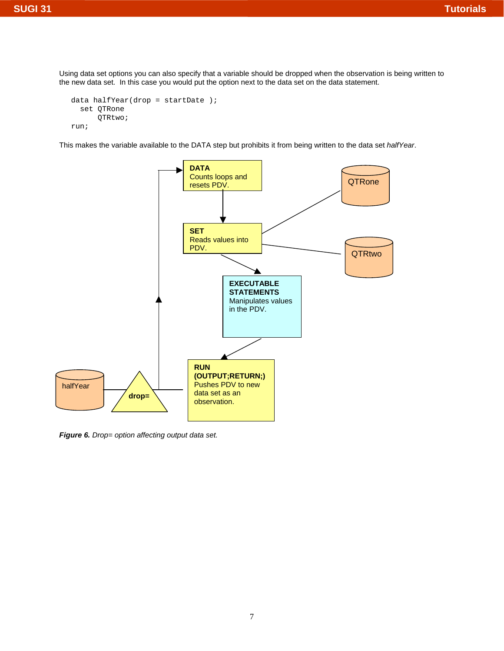Using data set options you can also specify that a variable should be dropped when the observation is being written to the new data set. In this case you would put the option next to the data set on the data statement.

```
data halfYear(drop = startDate );
   set QTRone 
       QTRtwo; 
run;
```
This makes the variable available to the DATA step but prohibits it from being written to the data set *halfYear*.



*Figure 6. Drop= option affecting output data set.*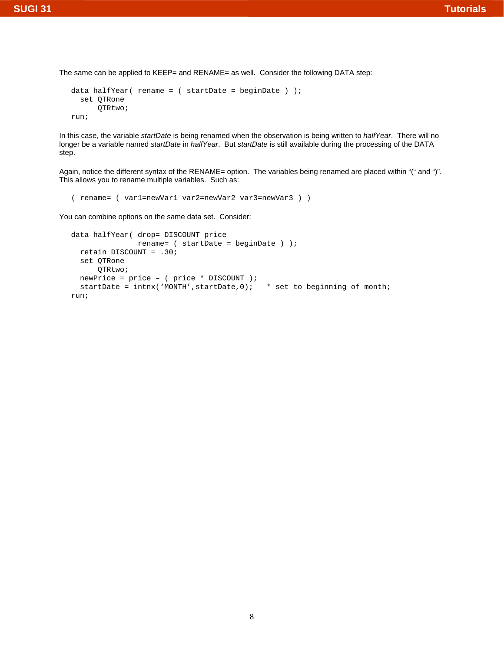The same can be applied to KEEP= and RENAME= as well. Consider the following DATA step:

```
data halfYear( rename = ( startDate = beginDate ) );
   set QTRone 
       QTRtwo; 
run;
```
In this case, the variable *startDate* is being renamed when the observation is being written to *halfYear*. There will no longer be a variable named *startDate* in *halfYear*. But *startDate* is still available during the processing of the DATA step.

Again, notice the different syntax of the RENAME= option. The variables being renamed are placed within "(" and ")". This allows you to rename multiple variables. Such as:

```
( rename= ( var1=newVar1 var2=newVar2 var3=newVar3 ) )
```
You can combine options on the same data set. Consider:

```
data halfYear( drop= DISCOUNT price 
                rename= ( startDate = beginDate ) ); 
   retain DISCOUNT = .30; 
   set QTRone 
       QTRtwo; 
   newPrice = price – ( price * DISCOUNT ); 
  startDate = intnx('MONTH', startDate, 0); * set to beginning of month;
run;
```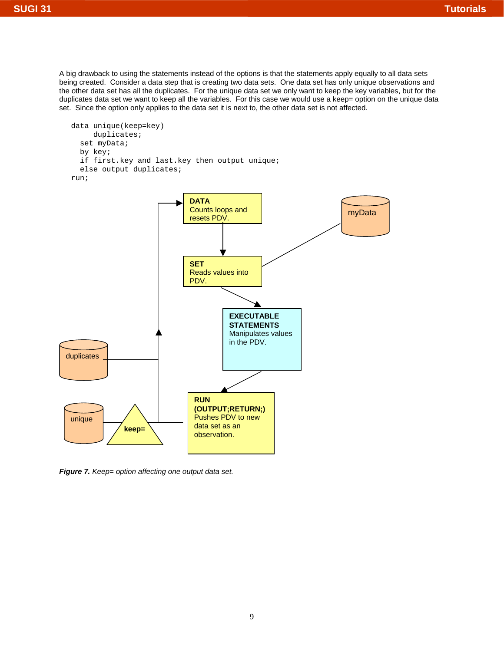A big drawback to using the statements instead of the options is that the statements apply equally to all data sets being created. Consider a data step that is creating two data sets. One data set has only unique observations and the other data set has all the duplicates. For the unique data set we only want to keep the key variables, but for the duplicates data set we want to keep all the variables. For this case we would use a keep= option on the unique data set. Since the option only applies to the data set it is next to, the other data set is not affected.

```
data unique(keep=key) 
      duplicates; 
   set myData; 
   by key; 
   if first.key and last.key then output unique; 
   else output duplicates; 
run;
```


*Figure 7. Keep= option affecting one output data set.*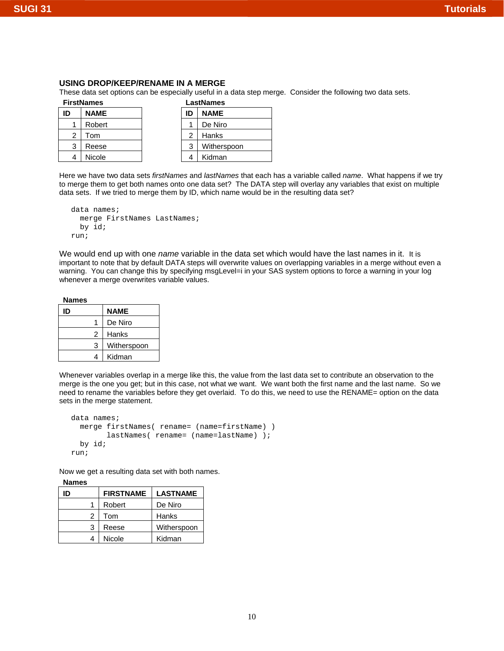### **USING DROP/KEEP/RENAME IN A MERGE**

These data set options can be especially useful in a data step merge. Consider the following two data sets.

| <b>FirstNames</b> |                |             | <b>LastNames</b> |  |             |
|-------------------|----------------|-------------|------------------|--|-------------|
|                   | ID             | <b>NAME</b> | ID               |  | <b>NAME</b> |
|                   |                | Robert      |                  |  | De Niro     |
|                   | $\overline{2}$ | Tom         | 2                |  | Hanks       |
|                   | 3              | Reese       | 3                |  | Witherspoon |
|                   |                | Nicole      |                  |  | Kidman      |

| LastNames      |             |  |
|----------------|-------------|--|
| ID             | <b>NAME</b> |  |
|                | De Niro     |  |
| $\overline{2}$ | Hanks       |  |
| 3              | Witherspoon |  |
|                | Kidman      |  |

Here we have two data sets *firstNames* and *lastNames* that each has a variable called *name*. What happens if we try to merge them to get both names onto one data set? The DATA step will overlay any variables that exist on multiple data sets. If we tried to merge them by ID, which name would be in the resulting data set?

```
data names; 
   merge FirstNames LastNames; 
   by id; 
run;
```
We would end up with one *name* variable in the data set which would have the last names in it. It is important to note that by default DATA steps will overwrite values on overlapping variables in a merge without even a warning. You can change this by specifying msgLevel=i in your SAS system options to force a warning in your log whenever a merge overwrites variable values.

| <b>Names</b> |  |
|--------------|--|
|              |  |
|              |  |

| ID | <b>NAME</b> |
|----|-------------|
| 1  | De Niro     |
| 2  | Hanks       |
| 3  | Witherspoon |
| 4  | Kidman      |

Whenever variables overlap in a merge like this, the value from the last data set to contribute an observation to the merge is the one you get; but in this case, not what we want. We want both the first name and the last name. So we need to rename the variables before they get overlaid. To do this, we need to use the RENAME= option on the data sets in the merge statement.

```
data names; 
   merge firstNames( rename= (name=firstName) ) 
         lastNames( rename= (name=lastName) ); 
   by id; 
run;
```
Now we get a resulting data set with both names.

**Names** 

| ID |   | <b>FIRSTNAME</b> | <b>LASTNAME</b> |
|----|---|------------------|-----------------|
|    |   | Robert           | De Niro         |
|    | 2 | Tom              | Hanks           |
|    | 3 | Reese            | Witherspoon     |
|    |   | Nicole           | Kidman          |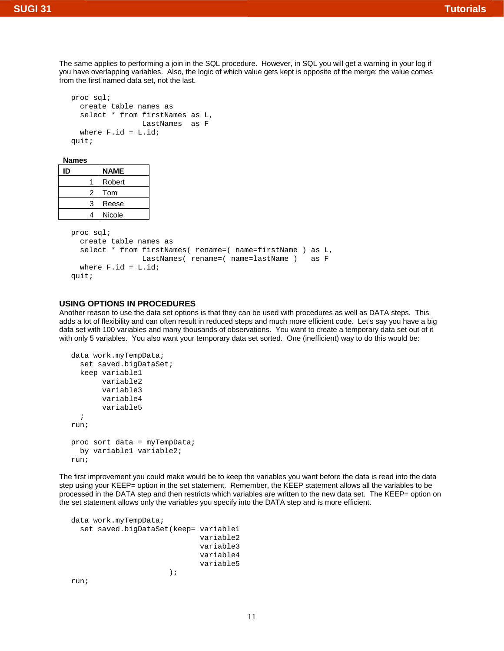# **SUGI 31 Tutorials**

The same applies to performing a join in the SQL procedure. However, in SQL you will get a warning in your log if you have overlapping variables. Also, the logic of which value gets kept is opposite of the merge: the value comes from the first named data set, not the last.

```
proc sql; 
   create table names as 
  select * from firstNames as L,
                 LastNames as F 
  where F.id = L.id;
quit;
```
#### **Names**

| ID |   | <b>NAME</b> |
|----|---|-------------|
|    |   | Robert      |
|    | 2 | Tom         |
|    | 3 | Reese       |
|    | Δ | Nicole      |

```
proc sql; 
   create table names as 
   select * from firstNames( rename=( name=firstName ) as L, 
                 LastNames( rename=( name=lastName ) as F 
  where F.id = L.id;
quit;
```
## **USING OPTIONS IN PROCEDURES**

Another reason to use the data set options is that they can be used with procedures as well as DATA steps. This adds a lot of flexibility and can often result in reduced steps and much more efficient code. Let's say you have a big data set with 100 variables and many thousands of observations. You want to create a temporary data set out of it with only 5 variables. You also want your temporary data set sorted. One (inefficient) way to do this would be:

```
data work.myTempData; 
   set saved.bigDataSet; 
   keep variable1 
         variable2 
         variable3 
         variable4 
         variable5 
   ; 
run; 
proc sort data = myTempData; 
   by variable1 variable2; 
run;
```
The first improvement you could make would be to keep the variables you want before the data is read into the data step using your KEEP= option in the set statement. Remember, the KEEP statement allows all the variables to be processed in the DATA step and then restricts which variables are written to the new data set. The KEEP= option on the set statement allows only the variables you specify into the DATA step and is more efficient.

```
data work.myTempData; 
  set saved.bigDataSet(keep= variable1 
                              variable2 
                              variable3 
                              variable4 
                              variable5 
) \mathbf{i}
```
run;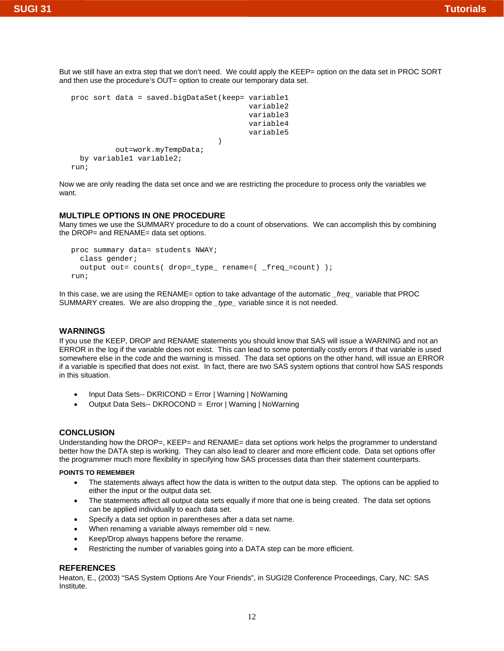But we still have an extra step that we don't need. We could apply the KEEP= option on the data set in PROC SORT and then use the procedure's OUT= option to create our temporary data set.

```
proc sort data = saved.bigDataSet(keep= variable1 
                                            variable2 
                                            variable3 
                                            variable4 
                                            variable5 
) and the contract of \mathcal{L} out=work.myTempData; 
   by variable1 variable2; 
run;
```
Now we are only reading the data set once and we are restricting the procedure to process only the variables we want.

# **MULTIPLE OPTIONS IN ONE PROCEDURE**

Many times we use the SUMMARY procedure to do a count of observations. We can accomplish this by combining the DROP= and RENAME= data set options.

```
proc summary data= students NWAY; 
   class gender; 
   output out= counts( drop=_type_ rename=( _freq_=count) ); 
run;
```
In this case, we are using the RENAME= option to take advantage of the automatic *\_freq\_* variable that PROC SUMMARY creates. We are also dropping the *\_type\_* variable since it is not needed.

### **WARNINGS**

If you use the KEEP, DROP and RENAME statements you should know that SAS will issue a WARNING and not an ERROR in the log if the variable does not exist. This can lead to some potentially costly errors if that variable is used somewhere else in the code and the warning is missed. The data set options on the other hand, will issue an ERROR if a variable is specified that does not exist. In fact, there are two SAS system options that control how SAS responds in this situation.

- Input Data Sets-- DKRICOND = Error | Warning | NoWarning
- Output Data Sets-- DKROCOND = Error | Warning | NoWarning

### **CONCLUSION**

Understanding how the DROP=, KEEP= and RENAME= data set options work helps the programmer to understand better how the DATA step is working. They can also lead to clearer and more efficient code. Data set options offer the programmer much more flexibility in specifying how SAS processes data than their statement counterparts.

#### **POINTS TO REMEMBER**

- The statements always affect how the data is written to the output data step. The options can be applied to either the input or the output data set.
- The statements affect all output data sets equally if more that one is being created. The data set options can be applied individually to each data set.
- Specify a data set option in parentheses after a data set name.
- When renaming a variable always remember old  $=$  new.
- Keep/Drop always happens before the rename.
- Restricting the number of variables going into a DATA step can be more efficient.

#### **REFERENCES**

Heaton, E., (2003) "SAS System Options Are Your Friends", in SUGI28 Conference Proceedings, Cary, NC: SAS Institute.